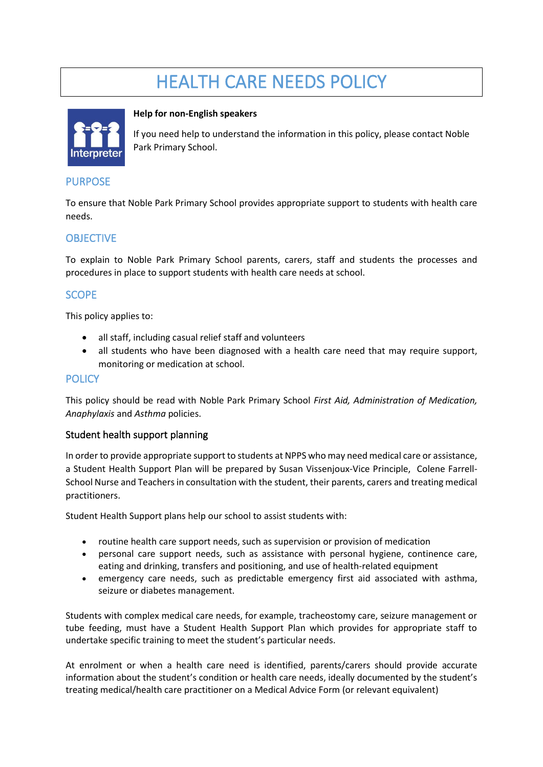# HEALTH CARE NEEDS POLICY



#### **Help for non-English speakers**

If you need help to understand the information in this policy, please contact Noble Park Primary School.

#### PURPOSE

To ensure that Noble Park Primary School provides appropriate support to students with health care needs.

## **OBJECTIVE**

To explain to Noble Park Primary School parents, carers, staff and students the processes and procedures in place to support students with health care needs at school.

## **SCOPE**

This policy applies to:

- all staff, including casual relief staff and volunteers
- all students who have been diagnosed with a health care need that may require support, monitoring or medication at school.

#### **POLICY**

This policy should be read with Noble Park Primary School *First Aid, Administration of Medication, Anaphylaxis* and *Asthma* policies.

#### Student health support planning

In order to provide appropriate support to students at NPPS who may need medical care or assistance, a Student Health Support Plan will be prepared by Susan Vissenjoux-Vice Principle, Colene Farrell-School Nurse and Teachers in consultation with the student, their parents, carers and treating medical practitioners.

Student Health Support plans help our school to assist students with:

- routine health care support needs, such as supervision or provision of medication
- personal care support needs, such as assistance with personal hygiene, continence care, eating and drinking, transfers and positioning, and use of health-related equipment
- emergency care needs, such as predictable emergency first aid associated with asthma, seizure or diabetes management.

Students with complex medical care needs, for example, tracheostomy care, seizure management or tube feeding, must have a Student Health Support Plan which provides for appropriate staff to undertake specific training to meet the student's particular needs.

At enrolment or when a health care need is identified, parents/carers should provide accurate information about the student's condition or health care needs, ideally documented by the student's treating medical/health care practitioner on a Medical Advice Form (or relevant equivalent)